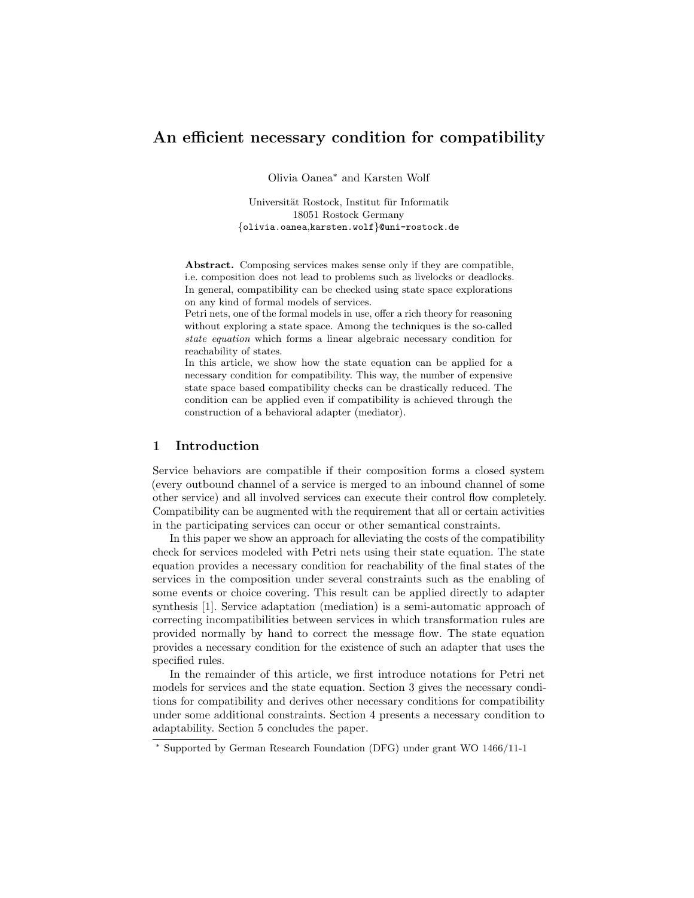# An efficient necessary condition for compatibility

Olivia Oanea<sup>∗</sup> and Karsten Wolf

Universität Rostock, Institut für Informatik 18051 Rostock Germany {olivia.oanea,karsten.wolf}@uni-rostock.de

Abstract. Composing services makes sense only if they are compatible, i.e. composition does not lead to problems such as livelocks or deadlocks. In general, compatibility can be checked using state space explorations on any kind of formal models of services.

Petri nets, one of the formal models in use, offer a rich theory for reasoning without exploring a state space. Among the techniques is the so-called state equation which forms a linear algebraic necessary condition for reachability of states.

In this article, we show how the state equation can be applied for a necessary condition for compatibility. This way, the number of expensive state space based compatibility checks can be drastically reduced. The condition can be applied even if compatibility is achieved through the construction of a behavioral adapter (mediator).

## 1 Introduction

Service behaviors are compatible if their composition forms a closed system (every outbound channel of a service is merged to an inbound channel of some other service) and all involved services can execute their control flow completely. Compatibility can be augmented with the requirement that all or certain activities in the participating services can occur or other semantical constraints.

In this paper we show an approach for alleviating the costs of the compatibility check for services modeled with Petri nets using their state equation. The state equation provides a necessary condition for reachability of the final states of the services in the composition under several constraints such as the enabling of some events or choice covering. This result can be applied directly to adapter synthesis [1]. Service adaptation (mediation) is a semi-automatic approach of correcting incompatibilities between services in which transformation rules are provided normally by hand to correct the message flow. The state equation provides a necessary condition for the existence of such an adapter that uses the specified rules.

In the remainder of this article, we first introduce notations for Petri net models for services and the state equation. Section 3 gives the necessary conditions for compatibility and derives other necessary conditions for compatibility under some additional constraints. Section 4 presents a necessary condition to adaptability. Section 5 concludes the paper.

<sup>∗</sup> Supported by German Research Foundation (DFG) under grant WO 1466/11-1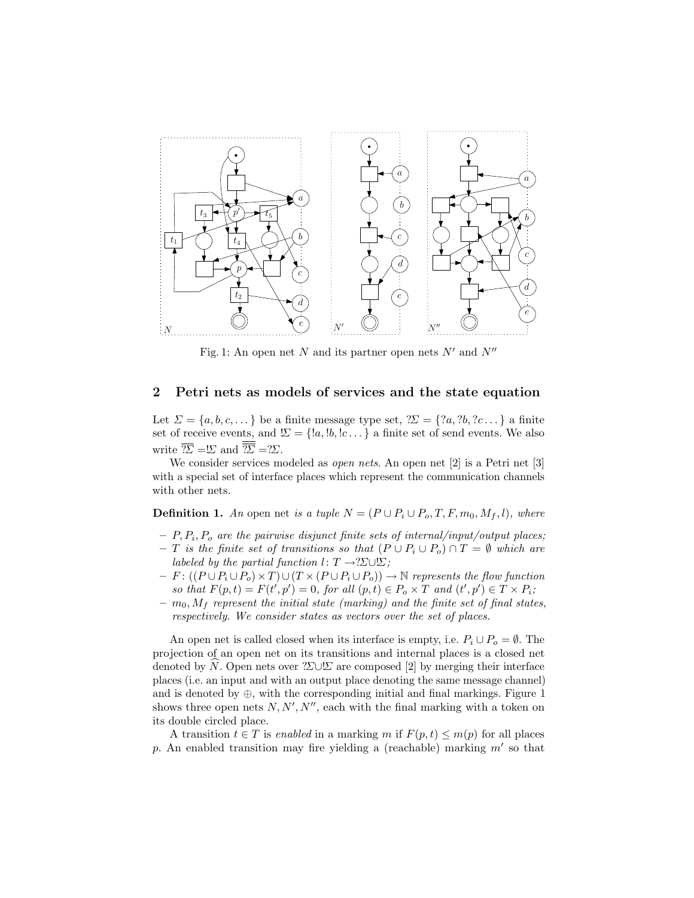

Fig. 1: An open net N and its partner open nets  $N'$  and  $N''$ 

## 2 Petri nets as models of services and the state equation

Let  $\Sigma = \{a, b, c, \dots\}$  be a finite message type set,  $\mathcal{Z} = \{?a, ?b, ?c \dots\}$  a finite set of receive events, and  $\Sigma = \{!a, !b, !c \dots \}$  a finite set of send events. We also write  $\overline{\mathcal{Z}} = \mathcal{L}$  and  $\overline{\overline{\mathcal{Z}}} = \mathcal{Z}.$ 

We consider services modeled as *open nets*. An open net [2] is a Petri net [3] with a special set of interface places which represent the communication channels with other nets.

**Definition 1.** An open net is a tuple  $N = (P \cup P_i \cup P_o, T, F, m_0, M_f, l)$ , where

- $P$ ,  $P_i$ ,  $P_o$  are the pairwise disjunct finite sets of internal/input/output places;
- T is the finite set of transitions so that  $(P \cup P_i \cup P_o) \cap T = \emptyset$  which are labeled by the partial function  $l: T \rightarrow ?\Sigma \cup \Sigma$ ;
- $-F: ((P \cup P_i \cup P_o) \times T) \cup (T \times (P \cup P_i \cup P_o)) \rightarrow \mathbb{N}$  represents the flow function so that  $F(p,t) = F(t',p') = 0$ , for all  $(p,t) \in P_o \times T$  and  $(t',p') \in T \times P_i$ ;
- $m_0$ ,  $M_f$  represent the initial state (marking) and the finite set of final states, respectively. We consider states as vectors over the set of places.

An open net is called closed when its interface is empty, i.e.  $P_i \cup P_o = \emptyset$ . The projection of an open net on its transitions and internal places is a closed net denoted by N. Open nets over ?Σ∪ $\Sigma$  are composed [2] by merging their interface places (i.e. an input and with an output place denoting the same message channel) and is denoted by  $\oplus$ , with the corresponding initial and final markings. Figure 1 shows three open nets  $N, N', N''$ , each with the final marking with a token on its double circled place.

A transition  $t \in T$  is enabled in a marking m if  $F(p, t) \leq m(p)$  for all places p. An enabled transition may fire yielding a (reachable) marking  $m'$  so that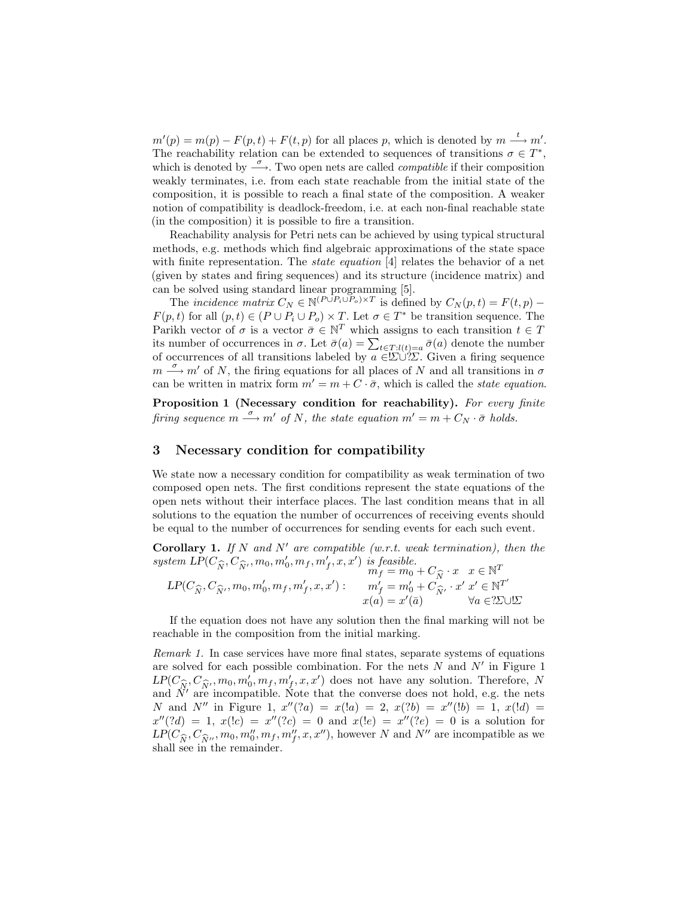$m'(p) = m(p) - F(p, t) + F(t, p)$  for all places p, which is denoted by  $m \stackrel{t}{\longrightarrow} m'$ . The reachability relation can be extended to sequences of transitions  $\sigma \in T^*$ , which is denoted by  $\stackrel{\sigma}{\longrightarrow}$ . Two open nets are called *compatible* if their composition weakly terminates, i.e. from each state reachable from the initial state of the composition, it is possible to reach a final state of the composition. A weaker notion of compatibility is deadlock-freedom, i.e. at each non-final reachable state (in the composition) it is possible to fire a transition.

Reachability analysis for Petri nets can be achieved by using typical structural methods, e.g. methods which find algebraic approximations of the state space with finite representation. The *state equation* [4] relates the behavior of a net (given by states and firing sequences) and its structure (incidence matrix) and can be solved using standard linear programming [5].

The incidence matrix  $C_N \in \mathbb{N}^{(P \cup P_i \cup P_o) \times T}$  is defined by  $C_N(p, t) = F(t, p)$  $F(p, t)$  for all  $(p, t) \in (P \cup P_i \cup P_o) \times T$ . Let  $\sigma \in T^*$  be transition sequence. The Parikh vector of  $\sigma$  is a vector  $\bar{\sigma} \in \mathbb{N}^T$  which assigns to each transition  $t \in T$ its number of occurrences in  $\sigma$ . Let  $\bar{\sigma}(a) = \sum_{t \in T:l(t)=a} \bar{\sigma}(a)$  denote the number of occurrences of all transitions labeled by  $a \in \Sigma \cup \Sigma$ . Given a firing sequence  $m \stackrel{\sigma}{\longrightarrow} m'$  of N, the firing equations for all places of N and all transitions in  $\sigma$ can be written in matrix form  $m' = m + C \cdot \bar{\sigma}$ , which is called the *state equation*.

Proposition 1 (Necessary condition for reachability). For every finite firing sequence  $m \stackrel{\sigma}{\longrightarrow} m'$  of N, the state equation  $m' = m + C_N \cdot \bar{\sigma}$  holds.

## 3 Necessary condition for compatibility

We state now a necessary condition for compatibility as weak termination of two composed open nets. The first conditions represent the state equations of the open nets without their interface places. The last condition means that in all solutions to the equation the number of occurrences of receiving events should be equal to the number of occurrences for sending events for each such event.

**Corollary 1.** If N and N' are compatible (w.r.t. weak termination), then the system  $LP(C_{\widehat{N}}, C_{\widehat{N}}, m_0, m'_0, m_f, m'_f, x, x')$  is feasible.<br> $m_f = m_0$ 

$$
LP(C_{\widehat{N}}, C_{\widehat{N}}, m_0, m'_0, m_f, m'_f, x, x') : \begin{aligned} m_f &= m_0 + C_{\widehat{N}} \cdot x & x \in \mathbb{N}^T \\ m_f &= m'_0 + C_{\widehat{N}} \cdot x & x \in \mathbb{N}^T \\ x(a) &= x'(\bar{a}) & \forall a \in 2 \text{LUE} \end{aligned}
$$

If the equation does not have any solution then the final marking will not be reachable in the composition from the initial marking.

Remark 1. In case services have more final states, separate systems of equations are solved for each possible combination. For the nets  $N$  and  $N'$  in Figure 1  $LP(C_{\widehat{N}}, C_{\widehat{N}}, m_0, m'_0, m_f, m'_f, x, x')$  does not have any solution. Therefore, N<br>and  $\widehat{N}'$  are incompatible. Note that the converse does not hold e.g. the note and  $\ddot{N}'$  are incompatible. Note that the converse does not hold, e.g. the nets N and N'' in Figure 1,  $x''(?a) = x(1a) = 2$ ,  $x(?b) = x''(1b) = 1$ ,  $x(1d) =$  $x''(?d) = 1, x(!c) = x''(?c) = 0 \text{ and } x(!e) = x''(?e) = 0 \text{ is a solution for }$  $LP(C_{\widehat{N}}, C_{\widehat{N}}', m_0, m_0'', m_f, m_f'', x, x'')$ , however N and N'' are incompatible as we shall see in the remainder shall see in the remainder.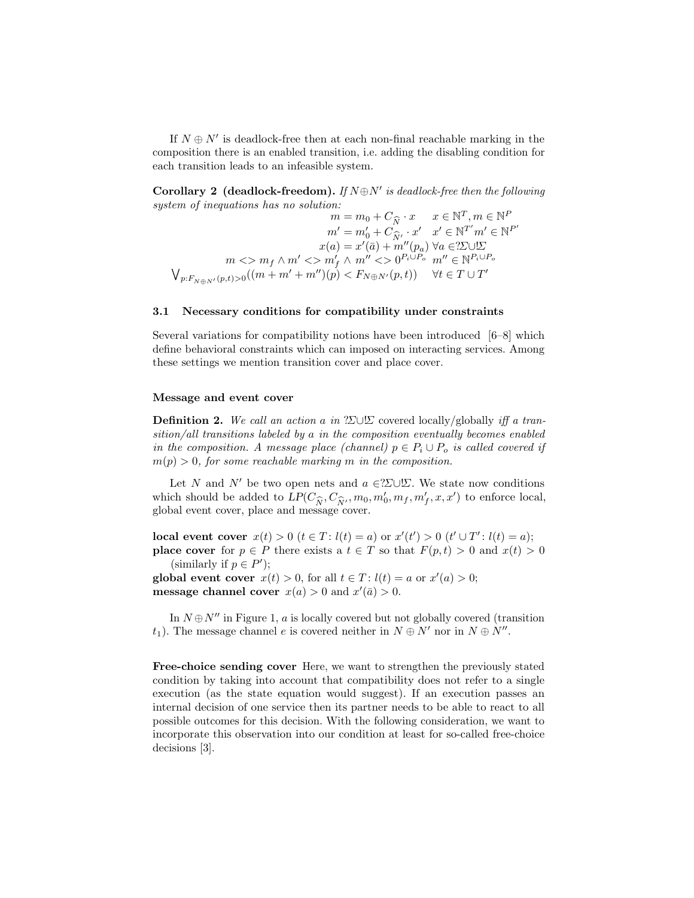If  $N \oplus N'$  is deadlock-free then at each non-final reachable marking in the composition there is an enabled transition, i.e. adding the disabling condition for each transition leads to an infeasible system.

**Corollary 2** (deadlock-freedom). If  $N \oplus N'$  is deadlock-free then the following system of inequations has no solution:  $\mathbf{F}$  $P$ 

$$
m = m_0 + C_{\widehat{N}} \cdot x \qquad x \in \mathbb{N}^T, m \in \mathbb{N}^P
$$

$$
m' = m'_0 + C_{\widehat{N}'} \cdot x' \quad x' \in \mathbb{N}^{T'} m' \in \mathbb{N}^{P'}
$$

$$
x(a) = x'(\bar{a}) + m''(p_a) \ \forall a \in ?\Sigma \cup \Sigma
$$

$$
m \iff m' \iff m'' <> 0^{P_i \cup P_o} \quad m'' \in \mathbb{N}^{P_i \cup P_o}
$$

$$
\bigvee_{p: F_{N \oplus N'}(p,t) > 0} ((m + m' + m'')(p) < F_{N \oplus N'}(p,t)) \qquad \forall t \in T \cup T'
$$

#### 3.1 Necessary conditions for compatibility under constraints

Several variations for compatibility notions have been introduced [6–8] which define behavioral constraints which can imposed on interacting services. Among these settings we mention transition cover and place cover.

#### Message and event cover

**Definition 2.** We call an action a in ?Σ∪ $\Sigma$  covered locally/globally iff a transition/all transitions labeled by a in the composition eventually becomes enabled in the composition. A message place (channel)  $p \in P_i \cup P_o$  is called covered if  $m(p) > 0$ , for some reachable marking m in the composition.

Let N and N' be two open nets and  $a \in 2\Sigma \cup \Sigma$ . We state now conditions which should be added to  $LP(C_{\widehat{N}}, C_{\widehat{N}}, m_0, m'_0, m_f, m'_f, x, x')$  to enforce local, global event cover, place and message cover.

local event cover  $x(t) > 0$   $(t \in T : l(t) = a)$  or  $x'(t') > 0$   $(t' \cup T' : l(t) = a)$ ; **place cover** for  $p \in P$  there exists a  $t \in T$  so that  $F(p, t) > 0$  and  $x(t) > 0$ (similarly if  $p \in P'$ );

global event cover  $x(t) > 0$ , for all  $t \in T$ :  $l(t) = a$  or  $x'(a) > 0$ ; message channel cover  $x(a) > 0$  and  $x'(\bar{a}) > 0$ .

In  $N \oplus N''$  in Figure 1, a is locally covered but not globally covered (transition  $t_1$ ). The message channel e is covered neither in  $N \oplus N'$  nor in  $N \oplus N''$ .

Free-choice sending cover Here, we want to strengthen the previously stated condition by taking into account that compatibility does not refer to a single execution (as the state equation would suggest). If an execution passes an internal decision of one service then its partner needs to be able to react to all possible outcomes for this decision. With the following consideration, we want to incorporate this observation into our condition at least for so-called free-choice decisions [3].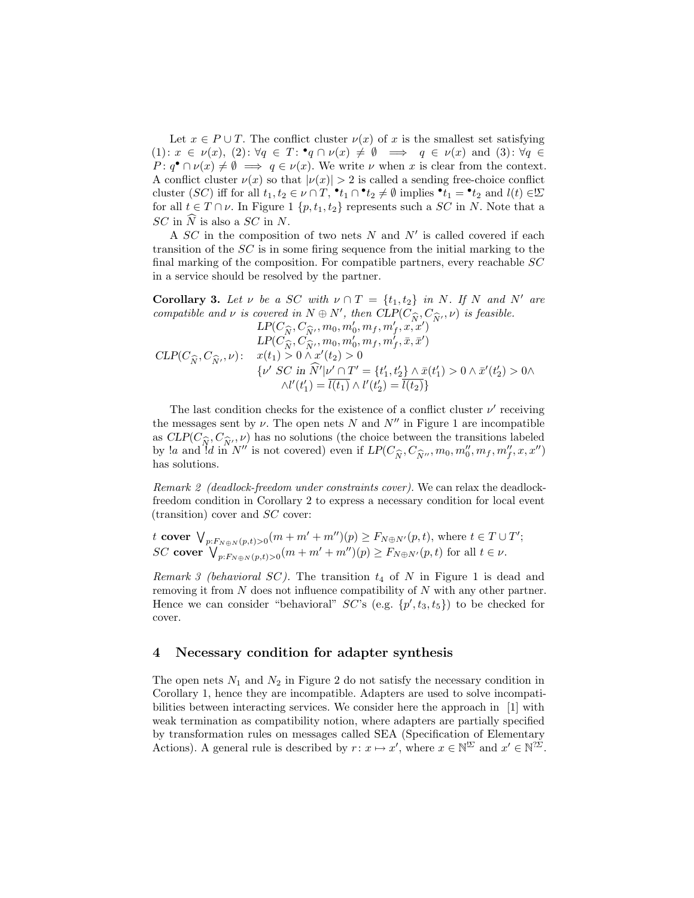Let  $x \in P \cup T$ . The conflict cluster  $\nu(x)$  of x is the smallest set satisfying  $(1): x \in \nu(x), (2): \forall q \in T: \mathbf{P}q \cap \nu(x) \neq \emptyset \implies q \in \nu(x) \text{ and } (3): \forall q \in$  $P: q^{\bullet} \cap \nu(x) \neq \emptyset \implies q \in \nu(x)$ . We write  $\nu$  when x is clear from the context. A conflict cluster  $\nu(x)$  so that  $|\nu(x)| > 2$  is called a sending free-choice conflict cluster (SC) iff for all  $t_1, t_2 \in \nu \cap T$ ,  $\cdot t_1 \cap \cdot t_2 \neq \emptyset$  implies  $\cdot t_1 = \cdot t_2$  and  $l(t) \in \Sigma$ for all  $t \in T \cap \nu$ . In Figure 1 {p, t<sub>1</sub>, t<sub>2</sub>} represents such a SC in N. Note that a  $SC$  in  $\widehat{N}$  is also a  $SC$  in N.

A  $SC$  in the composition of two nets  $N$  and  $N'$  is called covered if each transition of the SC is in some firing sequence from the initial marking to the final marking of the composition. For compatible partners, every reachable  $SC$ in a service should be resolved by the partner.

Corollary 3. Let  $\nu$  be a SC with  $\nu \cap T = \{t_1, t_2\}$  in N. If N and N' are compatible and  $\nu$  is covered in  $N \oplus N'$ , then  $CLP(C_{\widehat{N}}, C_{\widehat{N}'}, \nu)$  is feasible. , then  $CLP(C_{\widehat{N}}, C_{\widehat{N}})$ <br>m' m, m' x, x'  $CLP(C_{\widehat{N}}, C_{\widehat{N}}, \nu)$ :  $LP(C_{\widehat{N}}, C_{\widehat{N}}, m_0, m_0', m_f, m_f', x, x')$  $LP(C_{\widehat{N}}^{\widehat{C}}, C_{\widehat{N}}^{\widehat{C}}, m_0, m_0', m_f, m_f', \bar{x}, \bar{x}')$  $x(t_1) > 0 \wedge x'(t_2) > 0$  $\{v' \ SC \ in \ \hat{N}'|\nu' \cap T' = \{t'_1, t'_2\} \land \bar{x}(t'_1) > 0 \land \bar{x}'(t'_2) > 0 \land$  $\wedge l'(t'_1) = \overline{l(t_1)} \wedge l'(t'_2) = \overline{l(t_2)}$ 

The last condition checks for the existence of a conflict cluster  $\nu'$  receiving the messages sent by  $\nu$ . The open nets N and  $N''$  in Figure 1 are incompatible as  $CLP(C_{\widehat{N}}, C_{\widehat{N}}, \nu)$  has no solutions (the choice between the transitions labeled<br>by le and ld in  $N''$  is not covered) over if  $LP(C_2, C_2, m_1, m''$  me  $m''$  x  $x''$ . by la and  $d$  in  $N''$  is not covered) even if  $LP(C_{\widehat{N}}, C_{\widehat{N}''}, m_0, m_0'', m_f, m_f'', x, x'')$ has solutions.

Remark 2 (deadlock-freedom under constraints cover). We can relax the deadlockfreedom condition in Corollary 2 to express a necessary condition for local event (transition) cover and SC cover:

t cover  $\bigvee_{p: F_{N \oplus N}(p,t) > 0} (m + m' + m'')(p) \ge F_{N \oplus N'}(p,t)$ , where  $t \in T \cup T'$ ; SC cover  $\bigvee_{p: F_{N\oplus N}(p,t)>0}^{p: F_{N\oplus N}(p,t)>0}$  (m + m' + m'')(p)  $\geq F_{N\oplus N'}(p,t)$  for all  $t \in \nu$ .

Remark 3 (behavioral SC). The transition  $t_4$  of N in Figure 1 is dead and removing it from N does not influence compatibility of N with any other partner. Hence we can consider "behavioral"  $SC$ 's (e.g.  $\{p', t_3, t_5\}$ ) to be checked for cover.

### 4 Necessary condition for adapter synthesis

The open nets  $N_1$  and  $N_2$  in Figure 2 do not satisfy the necessary condition in Corollary 1, hence they are incompatible. Adapters are used to solve incompatibilities between interacting services. We consider here the approach in [1] with weak termination as compatibility notion, where adapters are partially specified by transformation rules on messages called SEA (Specification of Elementary Actions). A general rule is described by  $r: x \mapsto x'$ , where  $x \in \mathbb{N}^{\mathcal{D}}$  and  $x' \in \mathbb{N}^{\mathcal{D}}$ .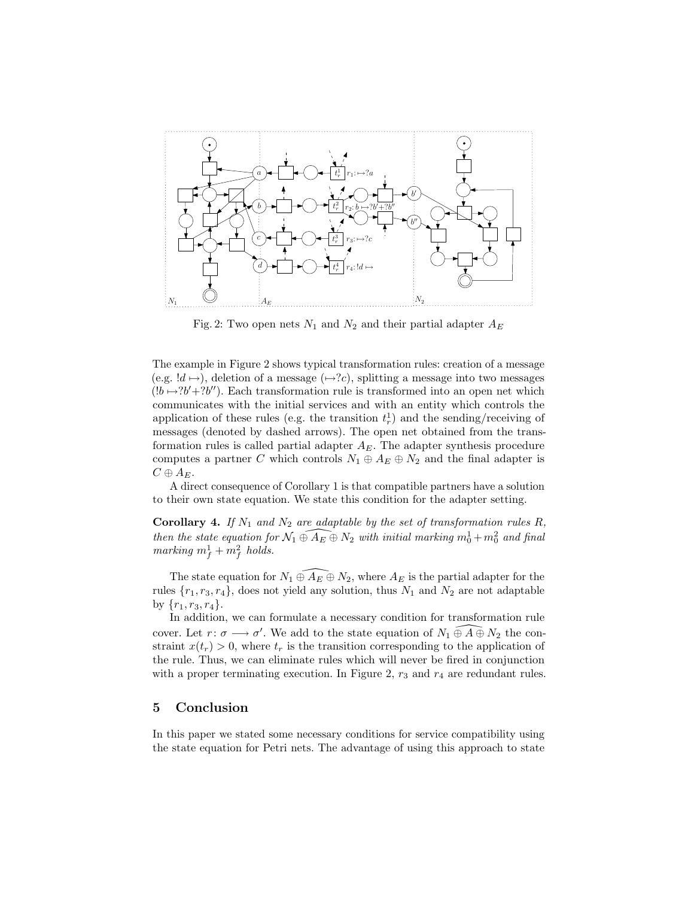

Fig. 2: Two open nets  $N_1$  and  $N_2$  and their partial adapter  $A_E$ 

The example in Figure 2 shows typical transformation rules: creation of a message (e.g.  $!d \mapsto$ ), deletion of a message ( $\mapsto ?c$ ), splitting a message into two messages  $(lb \rightarrow ?b'+?b'')$ . Each transformation rule is transformed into an open net which communicates with the initial services and with an entity which controls the application of these rules (e.g. the transition  $t_r^1$ ) and the sending/receiving of messages (denoted by dashed arrows). The open net obtained from the transformation rules is called partial adapter  $A_E$ . The adapter synthesis procedure computes a partner C which controls  $N_1 \oplus A_E \oplus N_2$  and the final adapter is  $C \oplus A_{E}.$ 

A direct consequence of Corollary 1 is that compatible partners have a solution to their own state equation. We state this condition for the adapter setting.

**Corollary 4.** If  $N_1$  and  $N_2$  are adaptable by the set of transformation rules R, then the state equation for  $\widehat{N_1 \oplus A_E \oplus N_2}$  with initial marking  $m_0^1 + m_0^2$  and final marking  $m_f^1 + m_f^2$  holds.

The state equation for  $N_1 \oplus A_E \oplus N_2$ , where  $A_E$  is the partial adapter for the rules  $\{r_1, r_3, r_4\}$ , does not yield any solution, thus  $N_1$  and  $N_2$  are not adaptable by  $\{r_1, r_3, r_4\}.$ 

In addition, we can formulate a necessary condition for transformation rule cover. Let  $r: \sigma \longrightarrow \sigma'$ . We add to the state equation of  $N_1 \oplus \widehat{A} \oplus N_2$  the constraint  $x(t_r) > 0$ , where  $t_r$  is the transition corresponding to the application of the rule. Thus, we can eliminate rules which will never be fired in conjunction with a proper terminating execution. In Figure 2,  $r_3$  and  $r_4$  are redundant rules.

## 5 Conclusion

In this paper we stated some necessary conditions for service compatibility using the state equation for Petri nets. The advantage of using this approach to state